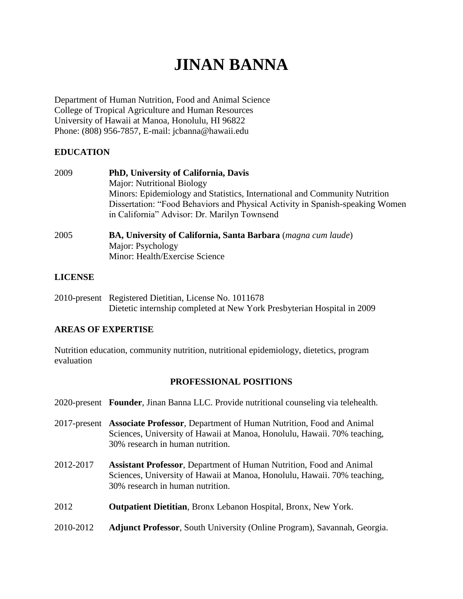# **JINAN BANNA**

Department of Human Nutrition, Food and Animal Science College of Tropical Agriculture and Human Resources University of Hawaii at Manoa, Honolulu, HI 96822 Phone: (808) 956-7857, E-mail: jcbanna@hawaii.edu

## **EDUCATION**

| 2009            | <b>PhD, University of California, Davis</b>                                    |  |  |
|-----------------|--------------------------------------------------------------------------------|--|--|
|                 | <b>Major: Nutritional Biology</b>                                              |  |  |
|                 | Minors: Epidemiology and Statistics, International and Community Nutrition     |  |  |
|                 | Dissertation: "Food Behaviors and Physical Activity in Spanish-speaking Women  |  |  |
|                 | in California" Advisor: Dr. Marilyn Townsend                                   |  |  |
| $\Delta \Omega$ | $\mathbf{D}$ University of Colifornia Canto Darbona ( <i>magna qum lauda</i> ) |  |  |

2005 **BA, University of California, Santa Barbara** (*magna cum laude*) Major: Psychology Minor: Health/Exercise Science

## **LICENSE**

2010-present Registered Dietitian, License No. 1011678 Dietetic internship completed at New York Presbyterian Hospital in 2009

## **AREAS OF EXPERTISE**

Nutrition education, community nutrition, nutritional epidemiology, dietetics, program evaluation

## **PROFESSIONAL POSITIONS**

|           | 2020-present Founder, Jinan Banna LLC. Provide nutritional counseling via telehealth.                                                                                                            |  |  |  |
|-----------|--------------------------------------------------------------------------------------------------------------------------------------------------------------------------------------------------|--|--|--|
|           | 2017-present Associate Professor, Department of Human Nutrition, Food and Animal<br>Sciences, University of Hawaii at Manoa, Honolulu, Hawaii. 70% teaching,<br>30% research in human nutrition. |  |  |  |
| 2012-2017 | <b>Assistant Professor, Department of Human Nutrition, Food and Animal</b><br>Sciences, University of Hawaii at Manoa, Honolulu, Hawaii. 70% teaching,<br>30% research in human nutrition.       |  |  |  |
| 2012      | <b>Outpatient Dietitian, Bronx Lebanon Hospital, Bronx, New York.</b>                                                                                                                            |  |  |  |
| 2010-2012 | <b>Adjunct Professor, South University (Online Program), Savannah, Georgia.</b>                                                                                                                  |  |  |  |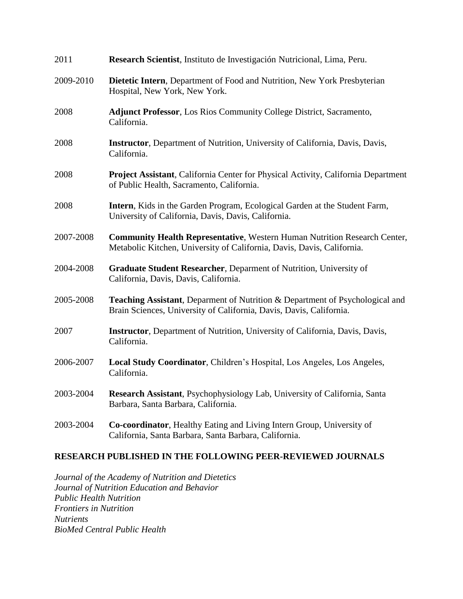| 2011      | Research Scientist, Instituto de Investigación Nutricional, Lima, Peru.                                                                                    |  |  |  |  |
|-----------|------------------------------------------------------------------------------------------------------------------------------------------------------------|--|--|--|--|
| 2009-2010 | Dietetic Intern, Department of Food and Nutrition, New York Presbyterian<br>Hospital, New York, New York.                                                  |  |  |  |  |
| 2008      | <b>Adjunct Professor, Los Rios Community College District, Sacramento,</b><br>California.                                                                  |  |  |  |  |
| 2008      | Instructor, Department of Nutrition, University of California, Davis, Davis,<br>California.                                                                |  |  |  |  |
| 2008      | Project Assistant, California Center for Physical Activity, California Department<br>of Public Health, Sacramento, California.                             |  |  |  |  |
| 2008      | Intern, Kids in the Garden Program, Ecological Garden at the Student Farm,<br>University of California, Davis, Davis, California.                          |  |  |  |  |
| 2007-2008 | <b>Community Health Representative, Western Human Nutrition Research Center,</b><br>Metabolic Kitchen, University of California, Davis, Davis, California. |  |  |  |  |
| 2004-2008 | Graduate Student Researcher, Deparment of Nutrition, University of<br>California, Davis, Davis, California.                                                |  |  |  |  |
| 2005-2008 | Teaching Assistant, Deparment of Nutrition & Department of Psychological and<br>Brain Sciences, University of California, Davis, Davis, California.        |  |  |  |  |
| 2007      | <b>Instructor</b> , Department of Nutrition, University of California, Davis, Davis,<br>California.                                                        |  |  |  |  |
| 2006-2007 | Local Study Coordinator, Children's Hospital, Los Angeles, Los Angeles,<br>California.                                                                     |  |  |  |  |
| 2003-2004 | Research Assistant, Psychophysiology Lab, University of California, Santa<br>Barbara, Santa Barbara, California.                                           |  |  |  |  |
| 2003-2004 | Co-coordinator, Healthy Eating and Living Intern Group, University of<br>California, Santa Barbara, Santa Barbara, California.                             |  |  |  |  |

## **RESEARCH PUBLISHED IN THE FOLLOWING PEER-REVIEWED JOURNALS**

*Journal of the Academy of Nutrition and Dietetics Journal of Nutrition Education and Behavior Public Health Nutrition Frontiers in Nutrition Nutrients BioMed Central Public Health*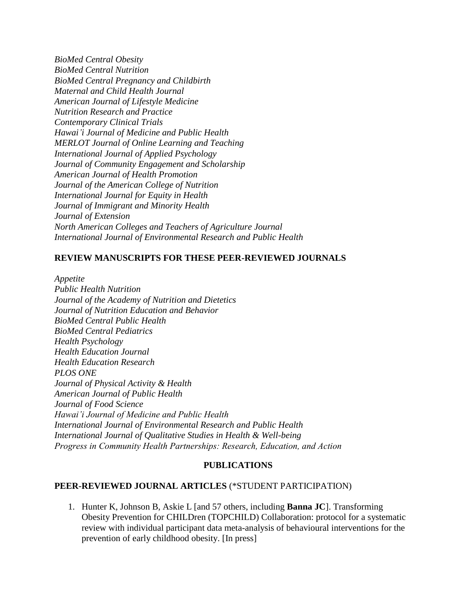*BioMed Central Obesity BioMed Central Nutrition BioMed Central Pregnancy and Childbirth Maternal and Child Health Journal American Journal of Lifestyle Medicine Nutrition Research and Practice Contemporary Clinical Trials Hawai'i Journal of Medicine and Public Health MERLOT Journal of Online Learning and Teaching International Journal of Applied Psychology Journal of Community Engagement and Scholarship American Journal of Health Promotion Journal of the American College of Nutrition International Journal for Equity in Health Journal of Immigrant and Minority Health Journal of Extension North American Colleges and Teachers of Agriculture Journal International Journal of Environmental Research and Public Health*

#### **REVIEW MANUSCRIPTS FOR THESE PEER-REVIEWED JOURNALS**

*Appetite Public Health Nutrition Journal of the Academy of Nutrition and Dietetics Journal of Nutrition Education and Behavior BioMed Central Public Health BioMed Central Pediatrics Health Psychology Health Education Journal Health Education Research PLOS ONE Journal of Physical Activity & Health American Journal of Public Health Journal of Food Science Hawai'i Journal of Medicine and Public Health International Journal of Environmental Research and Public Health International Journal of Qualitative Studies in Health & Well-being Progress in Community Health Partnerships: Research, Education, and Action* 

## **PUBLICATIONS**

#### **PEER-REVIEWED JOURNAL ARTICLES** (\*STUDENT PARTICIPATION)

1. Hunter K, Johnson B, Askie L [and 57 others, including **Banna JC**]. Transforming Obesity Prevention for CHILDren (TOPCHILD) Collaboration: protocol for a systematic review with individual participant data meta-analysis of behavioural interventions for the prevention of early childhood obesity. [In press]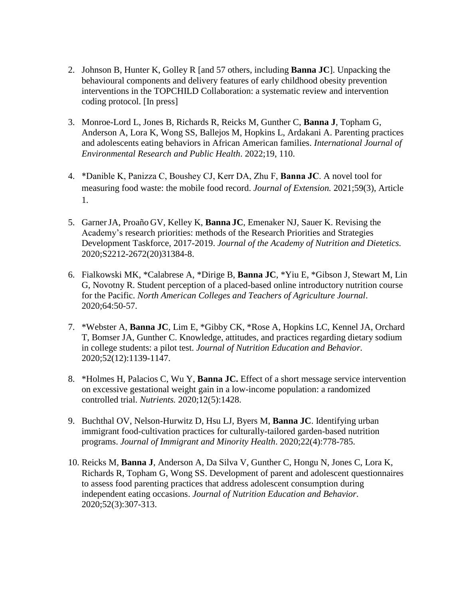- 2. Johnson B, Hunter K, Golley R [and 57 others, including **Banna JC**]. Unpacking the behavioural components and delivery features of early childhood obesity prevention interventions in the TOPCHILD Collaboration: a systematic review and intervention coding protocol. [In press]
- 3. Monroe-Lord L, Jones B, Richards R, Reicks M, Gunther C, **Banna J**, Topham G, Anderson A, Lora K, Wong SS, Ballejos M, Hopkins L, Ardakani A. Parenting practices and adolescents eating behaviors in African American families. *International Journal of Environmental Research and Public Health*. 2022;19, 110.
- 4. \*Danible K, Panizza C, Boushey CJ, Kerr DA, Zhu F, **Banna JC**. A novel tool for measuring food waste: the mobile food record. *Journal of Extension.* 2021;59(3), Article 1.
- 5. GarnerJA, Proaño GV, Kelley K, **Banna JC**, Emenaker NJ, Sauer K. Revising the Academy's research priorities: methods of the Research Priorities and Strategies Development Taskforce, 2017-2019. *Journal of the Academy of Nutrition and Dietetics.* 2020;S2212-2672(20)31384-8.
- 6. Fialkowski MK, \*Calabrese A, \*Dirige B, **Banna JC**, \*Yiu E, \*Gibson J, Stewart M, Lin G, Novotny R. Student perception of a placed-based online introductory nutrition course for the Pacific. *North American Colleges and Teachers of Agriculture Journal*. 2020;64:50-57.
- 7. \*Webster A, **Banna JC**, Lim E, \*Gibby CK, \*Rose A, Hopkins LC, Kennel JA, Orchard T, Bomser JA, Gunther C. Knowledge, attitudes, and practices regarding dietary sodium in college students: a pilot test. *Journal of Nutrition Education and Behavior.* 2020;52(12):1139-1147.
- 8. \*Holmes H, Palacios C, Wu Y, **Banna JC.** Effect of a short message service intervention on excessive gestational weight gain in a low-income population: a randomized controlled trial. *Nutrients.* 2020;12(5):1428.
- 9. Buchthal OV, Nelson-Hurwitz D, Hsu LJ, Byers M, **Banna JC**. Identifying urban immigrant food-cultivation practices for culturally-tailored garden-based nutrition programs. *Journal of Immigrant and Minority Health*. 2020;22(4):778-785.
- 10. Reicks M, **Banna J**, Anderson A, Da Silva V, Gunther C, Hongu N, Jones C, Lora K, Richards R, Topham G, Wong SS. Development of parent and adolescent questionnaires to assess food parenting practices that address adolescent consumption during independent eating occasions. *Journal of Nutrition Education and Behavior.* 2020;52(3):307-313.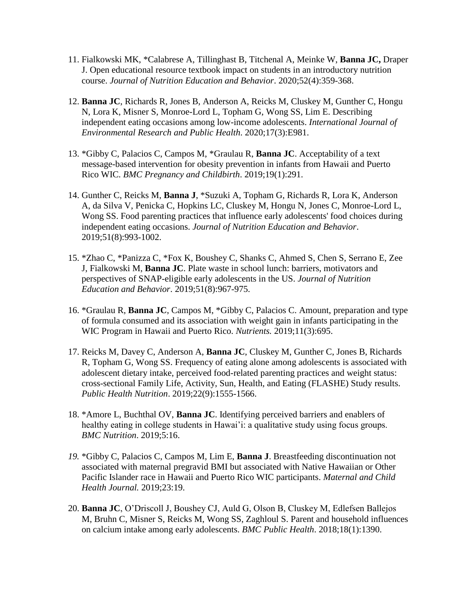- 11. Fialkowski MK, \*Calabrese A, Tillinghast B, Titchenal A, Meinke W, **Banna JC,** Draper J. Open educational resource textbook impact on students in an introductory nutrition course. *Journal of Nutrition Education and Behavior*. 2020;52(4):359-368.
- 12. **Banna JC**, Richards R, Jones B, Anderson A, Reicks M, Cluskey M, Gunther C, Hongu N, Lora K, Misner S, Monroe-Lord L, Topham G, Wong SS, Lim E. Describing independent eating occasions among low-income adolescents. *International Journal of Environmental Research and Public Health*. 2020;17(3):E981.
- 13. \*Gibby C, Palacios C, Campos M, \*Graulau R, **Banna JC**. Acceptability of a text message-based intervention for obesity prevention in infants from Hawaii and Puerto Rico WIC. *BMC Pregnancy and Childbirth*. 2019;19(1):291.
- 14. Gunther C, Reicks M, **Banna J**, \*Suzuki A, Topham G, Richards R, Lora K, Anderson A, da Silva V, Penicka C, Hopkins LC, Cluskey M, Hongu N, Jones C, Monroe-Lord L, Wong SS. Food parenting practices that influence early adolescents' food choices during independent eating occasions. *Journal of Nutrition Education and Behavior*. 2019;51(8):993-1002.
- 15. \*Zhao C, \*Panizza C, \*Fox K, Boushey C, Shanks C, Ahmed S, Chen S, [Serrano](https://plus.google.com/u/0/105368062203464006354?prsrc=4) E, Zee J, Fialkowski M, **Banna JC**. Plate waste in school lunch: barriers, motivators and perspectives of SNAP-eligible early adolescents in the US. *Journal of Nutrition Education and Behavior*. 2019;51(8):967-975.
- 16. \*Graulau R, **Banna JC**, Campos M, \*Gibby C, Palacios C. Amount, preparation and type of formula consumed and its association with weight gain in infants participating in the WIC Program in Hawaii and Puerto Rico. *Nutrients.* 2019;11(3):695.
- 17. Reicks M, Davey C, Anderson A, **Banna JC**, Cluskey M, Gunther C, Jones B, Richards R, Topham G, Wong SS. Frequency of eating alone among adolescents is associated with adolescent dietary intake, perceived food-related parenting practices and weight status: cross-sectional Family Life, Activity, Sun, Health, and Eating (FLASHE) Study results. *Public Health Nutrition*. 2019;22(9):1555-1566.
- 18. \*Amore L, Buchthal OV, **Banna JC**. Identifying perceived barriers and enablers of healthy eating in college students in Hawai'i: a qualitative study using focus groups. *BMC Nutrition*. 2019;5:16.
- *19.* \*Gibby C, Palacios C, Campos M, Lim E, **Banna J**. Breastfeeding discontinuation not associated with maternal pregravid BMI but associated with Native Hawaiian or Other Pacific Islander race in Hawaii and Puerto Rico WIC participants. *Maternal and Child Health Journal.* 2019;23:19.
- 20. **Banna JC**, O'Driscoll J, Boushey CJ, Auld G, Olson B, Cluskey M, Edlefsen Ballejos M, Bruhn C, Misner S, Reicks M, Wong SS, Zaghloul S. Parent and household influences on calcium intake among early adolescents. *BMC Public Health*. 2018;18(1):1390.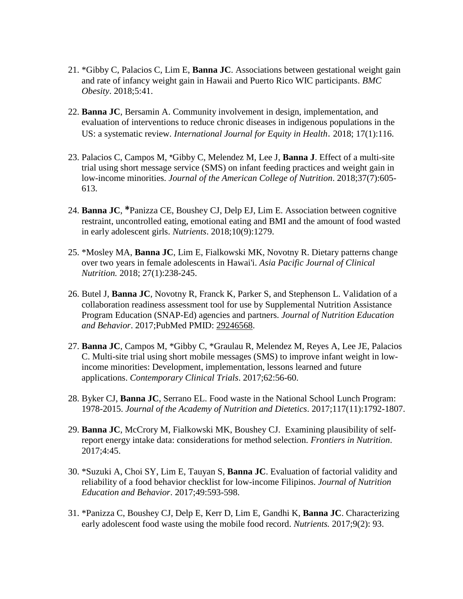- 21. \*Gibby C, Palacios C, Lim E, **Banna JC**. Associations between gestational weight gain and rate of infancy weight gain in Hawaii and Puerto Rico WIC participants. *BMC Obesity*. 2018;5:41.
- 22. **Banna JC**, Bersamin A. Community involvement in design, implementation, and evaluation of interventions to reduce chronic diseases in indigenous populations in the US: a systematic review. *International Journal for Equity in Health*. 2018; 17(1):116.
- 23. Palacios C, Campos M, \*Gibby C, Melendez M, Lee J, **Banna J**. Effect of a multi-site trial using short message service (SMS) on infant feeding practices and weight gain in low-income minorities. *Journal of the American College of Nutrition*. 2018;37(7):605- 613.
- 24. **Banna JC**, **\***Panizza CE, Boushey CJ, Delp EJ, Lim E. Association between cognitive restraint, uncontrolled eating, emotional eating and BMI and the amount of food wasted in early adolescent girls. *Nutrients*. 2018;10(9):1279.
- 25. \*Mosley MA, **Banna JC**, Lim E, Fialkowski MK, Novotny R. Dietary patterns change over two years in female adolescents in Hawai'i. *Asia Pacific Journal of Clinical Nutrition.* 2018; 27(1):238-245.
- 26. Butel J, **Banna JC**, Novotny R, Franck K, Parker S, and Stephenson L. Validation of a collaboration readiness assessment tool for use by Supplemental Nutrition Assistance Program Education (SNAP-Ed) agencies and partners. *Journal of Nutrition Education and Behavior*. 2017;PubMed PMID: 29246568.
- 27. **Banna JC**, Campos M, \*Gibby C, \*Graulau R, Melendez M, Reyes A, Lee JE, Palacios C. Multi-site trial using short mobile messages (SMS) to improve infant weight in lowincome minorities: Development, implementation, lessons learned and future applications. *Contemporary Clinical Trials*. 2017;62:56-60.
- 28. Byker CJ, **Banna JC**, Serrano EL. Food waste in the National School Lunch Program: 1978-2015. *Journal of the Academy of Nutrition and Dietetics*. 2017;117(11):1792-1807.
- 29. **Banna JC**, McCrory M, Fialkowski MK, Boushey CJ. Examining plausibility of selfreport energy intake data: considerations for method selection. *Frontiers in Nutrition*. 2017;4:45.
- 30. \*Suzuki A, Choi SY, Lim E, Tauyan S, **Banna JC**. Evaluation of factorial validity and reliability of a food behavior checklist for low-income Filipinos. *Journal of Nutrition Education and Behavior*. 2017;49:593-598.
- 31. \*Panizza C, Boushey CJ, Delp E, Kerr D, Lim E, Gandhi K, **Banna JC**. Characterizing early adolescent food waste using the mobile food record. *Nutrients.* 2017;9(2): 93.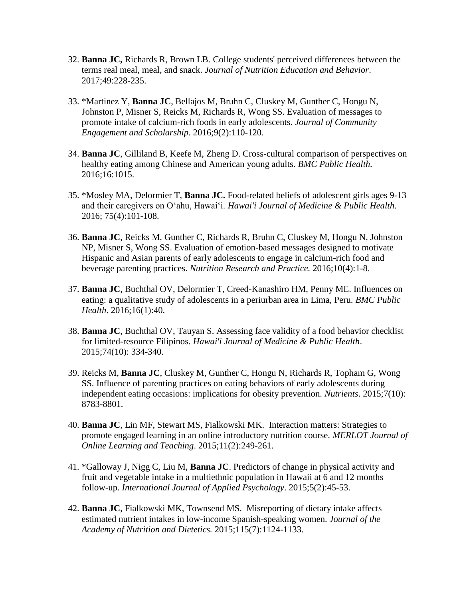- 32. **Banna JC,** Richards R, Brown LB. College students' perceived differences between the terms real meal, meal, and snack. *Journal of Nutrition Education and Behavior*. 2017;49:228-235.
- 33. \*Martinez Y, **Banna JC**, Bellajos M, Bruhn C, Cluskey M, Gunther C, Hongu N, Johnston P, Misner S, Reicks M, Richards R, Wong SS. Evaluation of messages to promote intake of calcium-rich foods in early adolescents. *Journal of Community Engagement and Scholarship*. 2016;9(2):110-120.
- 34. **Banna JC**, Gilliland B, Keefe M, Zheng D. Cross-cultural comparison of perspectives on healthy eating among Chinese and American young adults. *BMC Public Health.* 2016;16:1015.
- 35. \*Mosley MA, Delormier T, **Banna JC.** Food-related beliefs of adolescent girls ages 9-13 and their caregivers on Oʻahu, Hawaiʻi. *Hawai'i Journal of Medicine & Public Health*. 2016; 75(4):101-108.
- 36. **Banna JC**, Reicks M, Gunther C, Richards R, Bruhn C, Cluskey M, Hongu N, Johnston NP, Misner S, Wong SS. Evaluation of emotion-based messages designed to motivate Hispanic and Asian parents of early adolescents to engage in calcium-rich food and beverage parenting practices. *Nutrition Research and Practice.* 2016;10(4):1-8.
- 37. **Banna JC**, Buchthal OV, Delormier T, Creed-Kanashiro HM, Penny ME. Influences on eating: a qualitative study of adolescents in a periurban area in Lima, Peru. *BMC Public Health*. 2016;16(1):40.
- 38. **Banna JC**, Buchthal OV, Tauyan S. Assessing face validity of a food behavior checklist for limited-resource Filipinos. *Hawai'i Journal of Medicine & Public Health*. 2015;74(10): 334-340.
- 39. Reicks M, **Banna JC**, Cluskey M, Gunther C, Hongu N, Richards R, Topham G, Wong SS. Influence of parenting practices on eating behaviors of early adolescents during independent eating occasions: implications for obesity prevention. *Nutrients*. 2015;7(10): 8783-8801.
- 40. **Banna JC**, Lin MF, Stewart MS, Fialkowski MK. Interaction matters: Strategies to promote engaged learning in an online introductory nutrition course. *MERLOT Journal of Online Learning and Teaching*. 2015;11(2):249-261.
- 41. \*Galloway J, Nigg C, Liu M, **Banna JC**. Predictors of change in physical activity and fruit and vegetable intake in a multiethnic population in Hawaii at 6 and 12 months follow-up. *International Journal of Applied Psychology*. 2015;5(2):45-53.
- 42. **Banna JC**, Fialkowski MK, Townsend MS. Misreporting of dietary intake affects estimated nutrient intakes in low-income Spanish-speaking women. *Journal of the Academy of Nutrition and Dietetics.* 2015;115(7):1124-1133.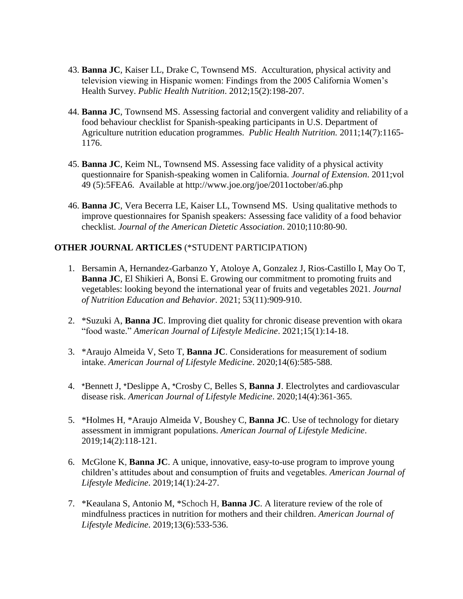- 43. **Banna JC**, Kaiser LL, Drake C, Townsend MS.Acculturation, physical activity and television viewing in Hispanic women: Findings from the 2005 California Women's Health Survey. *Public Health Nutrition*. 2012;15(2):198-207.
- 44. **Banna JC**, Townsend MS. Assessing factorial and convergent validity and reliability of a food behaviour checklist for Spanish-speaking participants in U.S. Department of Agriculture nutrition education programmes. *Public Health Nutrition.* 2011;14(7):1165- 1176.
- 45. **Banna JC**, Keim NL, Townsend MS. Assessing face validity of a physical activity questionnaire for Spanish-speaking women in California. *Journal of Extension*. 2011;vol 49 (5):5FEA6. Available at<http://www.joe.org/joe/2011october/a6.php>
- 46. **Banna JC**, Vera Becerra LE, Kaiser LL, Townsend MS. Using qualitative methods to improve questionnaires for Spanish speakers: Assessing face validity of a food behavior checklist. *Journal of the American Dietetic Association*. 2010;110:80-90.

#### **OTHER JOURNAL ARTICLES** (\*STUDENT PARTICIPATION)

- 1. Bersamin A, Hernandez-Garbanzo Y, Atoloye A, Gonzalez J, Rios-Castillo I, May Oo T, **Banna JC**, El Shikieri A, Bonsi E. Growing our commitment to promoting fruits and vegetables: looking beyond the international year of fruits and vegetables 2021. *Journal of Nutrition Education and Behavior*. 2021; 53(11):909-910.
- 2. \*Suzuki A, **Banna JC**. Improving diet quality for chronic disease prevention with okara "food waste." *American Journal of Lifestyle Medicine*. 2021;15(1):14-18.
- 3. \*Araujo Almeida V, Seto T, **Banna JC**. Considerations for measurement of sodium intake. *American Journal of Lifestyle Medicine*. 2020;14(6):585-588.
- 4. \*Bennett J, \*Deslippe A, \*Crosby C, Belles S, **Banna J**. Electrolytes and cardiovascular disease risk. *American Journal of Lifestyle Medicine*. 2020;14(4):361-365.
- 5. \*Holmes H, \*Araujo Almeida V, Boushey C, **Banna JC**. Use of technology for dietary assessment in immigrant populations. *American Journal of Lifestyle Medicine*. 2019;14(2):118-121.
- 6. McGlone K, **Banna JC**. A unique, innovative, easy-to-use program to improve young children's attitudes about and consumption of fruits and vegetables. *American Journal of Lifestyle Medicine*. 2019;14(1):24-27.
- 7. \*Keaulana S, Antonio M, \*Schoch H, **Banna JC**. A literature review of the role of mindfulness practices in nutrition for mothers and their children. *American Journal of Lifestyle Medicine*. 2019;13(6):533-536.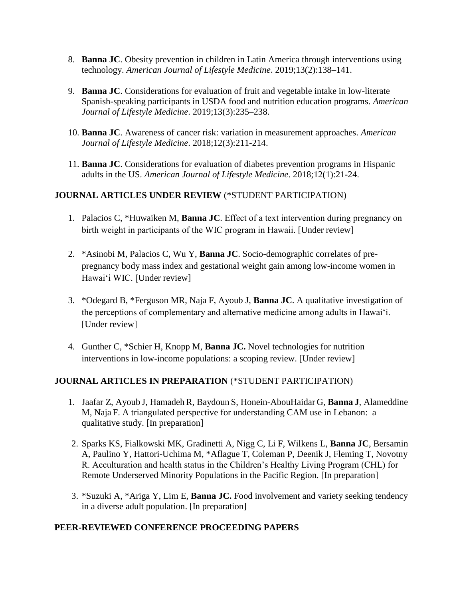- 8. **Banna JC**. Obesity prevention in children in Latin America through interventions using technology. *American Journal of Lifestyle Medicine*. 2019;13(2):138–141.
- 9. **Banna JC**. Considerations for evaluation of fruit and vegetable intake in low-literate Spanish-speaking participants in USDA food and nutrition education programs. *American Journal of Lifestyle Medicine*. 2019;13(3):235–238.
- 10. **Banna JC**. Awareness of cancer risk: variation in measurement approaches. *American Journal of Lifestyle Medicine*. 2018;12(3):211-214.
- 11. **Banna JC**. Considerations for evaluation of diabetes prevention programs in Hispanic adults in the US. *American Journal of Lifestyle Medicine*. 2018;12(1):21-24.

## **JOURNAL ARTICLES UNDER REVIEW** (\*STUDENT PARTICIPATION)

- 1. Palacios C, \*Huwaiken M, **Banna JC**. Effect of a text intervention during pregnancy on birth weight in participants of the WIC program in Hawaii. [Under review]
- 2. \*Asinobi M, Palacios C, Wu Y, **Banna JC**. Socio-demographic correlates of prepregnancy body mass index and gestational weight gain among low-income women in Hawaiʻi WIC. [Under review]
- 3. \*Odegard B, \*Ferguson MR, Naja F, Ayoub J, **Banna JC**. A qualitative investigation of the perceptions of complementary and alternative medicine among adults in Hawaiʻi. [Under review]
- 4. Gunther C, \*Schier H, Knopp M, **Banna JC.** Novel technologies for nutrition interventions in low-income populations: a scoping review. [Under review]

## **JOURNAL ARTICLES IN PREPARATION** (\*STUDENT PARTICIPATION)

- 1. Jaafar Z, Ayoub J, Hamadeh R, Baydoun S, Honein-AbouHaidar G, **Banna J**, Alameddine M, Naja F. A triangulated perspective for understanding CAM use in Lebanon: a qualitative study. [In preparation]
- 2. Sparks KS, Fialkowski MK, Gradinetti A, Nigg C, Li F, Wilkens L, **Banna JC**, Bersamin A, Paulino Y, Hattori-Uchima M, \*Aflague T, Coleman P, Deenik J, Fleming T, Novotny R. Acculturation and health status in the Children's Healthy Living Program (CHL) for Remote Underserved Minority Populations in the Pacific Region. [In preparation]
- 3. \*Suzuki A, \*Ariga Y, Lim E, **Banna JC.** Food involvement and variety seeking tendency in a diverse adult population. [In preparation]

## **PEER-REVIEWED CONFERENCE PROCEEDING PAPERS**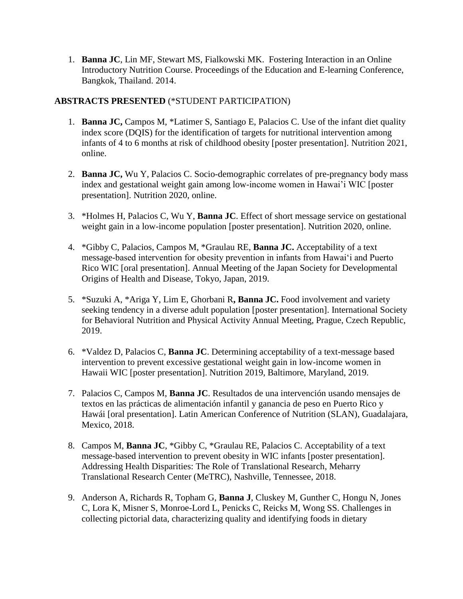1. **Banna JC**, Lin MF, Stewart MS, Fialkowski MK. Fostering Interaction in an Online Introductory Nutrition Course. Proceedings of the Education and E-learning Conference, Bangkok, Thailand. 2014.

## **ABSTRACTS PRESENTED** (\*STUDENT PARTICIPATION)

- 1. **Banna JC,** Campos M, \*Latimer S, Santiago E, Palacios C. Use of the infant diet quality index score (DQIS) for the identification of targets for nutritional intervention among infants of 4 to 6 months at risk of childhood obesity [poster presentation]. Nutrition 2021, online.
- 2. **Banna JC,** Wu Y, Palacios C. Socio-demographic correlates of pre-pregnancy body mass index and gestational weight gain among low-income women in Hawai'i WIC [poster presentation]. Nutrition 2020, online.
- 3. \*Holmes H, Palacios C, Wu Y, **Banna JC**. Effect of short message service on gestational weight gain in a low-income population [poster presentation]. Nutrition 2020, online.
- 4. \*Gibby C, Palacios, Campos M, \*Graulau RE, **Banna JC.** Acceptability of a text message-based intervention for obesity prevention in infants from Hawai'i and Puerto Rico WIC [oral presentation]. Annual Meeting of the Japan Society for Developmental Origins of Health and Disease, Tokyo, Japan, 2019.
- 5. \*Suzuki A, \*Ariga Y, Lim E, Ghorbani R**, Banna JC.** Food involvement and variety seeking tendency in a diverse adult population [poster presentation]. International Society for Behavioral Nutrition and Physical Activity Annual Meeting, Prague, Czech Republic, 2019.
- 6. \*Valdez D, Palacios C, **Banna JC**. Determining acceptability of a text-message based intervention to prevent excessive gestational weight gain in low-income women in Hawaii WIC [poster presentation]. Nutrition 2019, Baltimore, Maryland, 2019.
- 7. Palacios C, Campos M, **Banna JC**. Resultados de una intervención usando mensajes de textos en las prácticas de alimentación infantil y ganancia de peso en Puerto Rico y Hawái [oral presentation]. Latin American Conference of Nutrition (SLAN), Guadalajara, Mexico, 2018.
- 8. Campos M, **Banna JC**, \*Gibby C, \*Graulau RE, Palacios C. Acceptability of a text message-based intervention to prevent obesity in WIC infants [poster presentation]. [Addressing Health Disparities: The Role of Translational Research,](http://metrcconference.com/agenda.html) Meharry Translational Research Center (MeTRC), Nashville, Tennessee, 2018.
- 9. Anderson A, Richards R, Topham G, **Banna J**, Cluskey M, Gunther C, Hongu N, Jones C, Lora K, Misner S, Monroe-Lord L, Penicks C, Reicks M, Wong SS. Challenges in collecting pictorial data, characterizing quality and identifying foods in dietary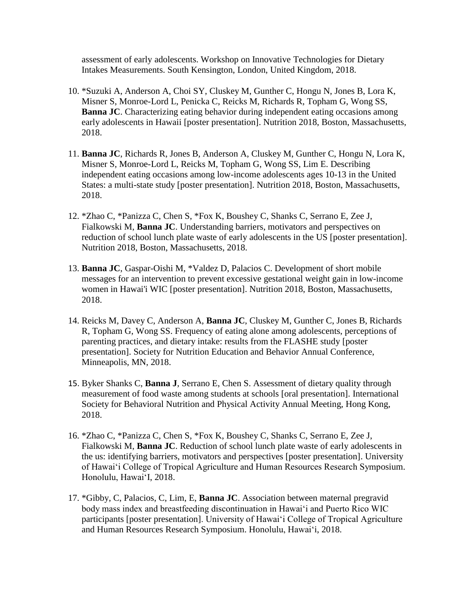assessment of early adolescents. Workshop on Innovative Technologies for Dietary Intakes Measurements. South Kensington, London, United Kingdom, 2018.

- 10. \*Suzuki A, Anderson A, Choi SY, Cluskey M, Gunther C, Hongu N, Jones B, Lora K, Misner S, Monroe-Lord L, Penicka C, Reicks M, Richards R, Topham G, Wong SS, **Banna JC**. Characterizing eating behavior during independent eating occasions among early adolescents in Hawaii [poster presentation]. Nutrition 2018, Boston, Massachusetts, 2018.
- 11. **Banna JC**, Richards R, Jones B, Anderson A, Cluskey M, Gunther C, Hongu N, Lora K, Misner S, Monroe-Lord L, Reicks M, Topham G, Wong SS, Lim E. Describing independent eating occasions among low-income adolescents ages 10-13 in the United States: a multi-state study [poster presentation]. Nutrition 2018, Boston, Massachusetts, 2018.
- 12. \*Zhao C, \*Panizza C, Chen S, \*Fox K, Boushey C, Shanks C, [Serrano](https://plus.google.com/u/0/105368062203464006354?prsrc=4) E, Zee J, Fialkowski M, **Banna JC**. Understanding barriers, motivators and perspectives on reduction of school lunch plate waste of early adolescents in the US [poster presentation]. Nutrition 2018, Boston, Massachusetts, 2018.
- 13. **Banna JC**, Gaspar-Oishi M, \*Valdez D, Palacios C. Development of short mobile messages for an intervention to prevent excessive gestational weight gain in low-income women in Hawai'i WIC [poster presentation]. Nutrition 2018, Boston, Massachusetts, 2018.
- 14. Reicks M, Davey C, Anderson A, **Banna JC**, Cluskey M, Gunther C, Jones B, Richards R, Topham G, Wong SS. Frequency of eating alone among adolescents, perceptions of parenting practices, and dietary intake: results from the FLASHE study [poster presentation]. Society for Nutrition Education and Behavior Annual Conference, Minneapolis, MN, 2018.
- 15. Byker Shanks C, **Banna J**, [Serrano](https://plus.google.com/u/0/105368062203464006354?prsrc=4) E, Chen S. Assessment of dietary quality through measurement of food waste among students at schools [oral presentation]. International Society for Behavioral Nutrition and Physical Activity Annual Meeting, Hong Kong, 2018.
- 16. \*Zhao C, \*Panizza C, Chen S, \*Fox K, Boushey C, Shanks C, [Serrano](https://plus.google.com/u/0/105368062203464006354?prsrc=4) E, Zee J, Fialkowski M, **Banna JC**. Reduction of school lunch plate waste of early adolescents in the us: identifying barriers, motivators and perspectives [poster presentation]. University of Hawai'i College of Tropical Agriculture and Human Resources Research Symposium. Honolulu, Hawai'I, 2018.
- 17. \*Gibby, C, Palacios, C, Lim, E, **Banna JC**. Association between maternal pregravid body mass index and breastfeeding discontinuation in Hawai'i and Puerto Rico WIC participants [poster presentation]. University of Hawai'i College of Tropical Agriculture and Human Resources Research Symposium. Honolulu, Hawai'i, 2018.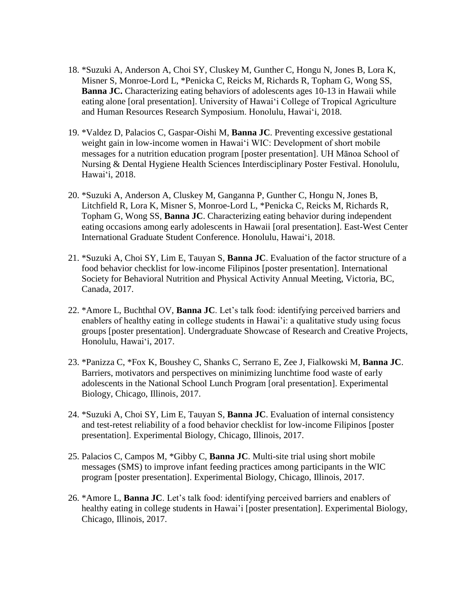- 18. \*Suzuki A, Anderson A, Choi SY, Cluskey M, Gunther C, Hongu N, Jones B, Lora K, Misner S, Monroe-Lord L, \*Penicka C, Reicks M, Richards R, Topham G, Wong SS, **Banna JC.** Characterizing eating behaviors of adolescents ages 10-13 in Hawaii while eating alone [oral presentation]. University of Hawai'i College of Tropical Agriculture and Human Resources Research Symposium. Honolulu, Hawai'i, 2018.
- 19. \*Valdez D, Palacios C, Gaspar-Oishi M, **Banna JC**. Preventing excessive gestational weight gain in low-income women in Hawai'i WIC: Development of short mobile messages for a nutrition education program [poster presentation]. UH Mānoa School of Nursing & Dental Hygiene Health Sciences Interdisciplinary Poster Festival. Honolulu, Hawai'i, 2018.
- 20. \*Suzuki A, Anderson A, Cluskey M, Ganganna P, Gunther C, Hongu N, Jones B, Litchfield R, Lora K, Misner S, Monroe-Lord L, \*Penicka C, Reicks M, Richards R, Topham G, Wong SS, **Banna JC**. Characterizing eating behavior during independent eating occasions among early adolescents in Hawaii [oral presentation]. East-West Center International Graduate Student Conference. Honolulu, Hawai'i, 2018.
- 21. \*Suzuki A, Choi SY, Lim E, Tauyan S, **Banna JC**. Evaluation of the factor structure of a food behavior checklist for low-income Filipinos [poster presentation]. International Society for Behavioral Nutrition and Physical Activity Annual Meeting, Victoria, BC, Canada, 2017.
- 22. \*Amore L, Buchthal OV, **Banna JC**. Let's talk food: identifying perceived barriers and enablers of healthy eating in college students in Hawai'i: a qualitative study using focus groups [poster presentation]. Undergraduate Showcase of Research and Creative Projects, Honolulu, Hawai'i, 2017.
- 23. \*Panizza C, \*Fox K, Boushey C, Shanks C, [Serrano](https://plus.google.com/u/0/105368062203464006354?prsrc=4) E, Zee J, Fialkowski M, **Banna JC**. Barriers, motivators and perspectives on minimizing lunchtime food waste of early adolescents in the National School Lunch Program [oral presentation]. Experimental Biology, Chicago, Illinois, 2017.
- 24. \*Suzuki A, Choi SY, Lim E, Tauyan S, **Banna JC**. Evaluation of internal consistency and test-retest reliability of a food behavior checklist for low-income Filipinos [poster presentation]. Experimental Biology, Chicago, Illinois, 2017.
- 25. Palacios C, Campos M, \*Gibby C, **Banna JC**. Multi-site trial using short mobile messages (SMS) to improve infant feeding practices among participants in the WIC program [poster presentation]. Experimental Biology, Chicago, Illinois, 2017.
- 26. \*Amore L, **Banna JC**. Let's talk food: identifying perceived barriers and enablers of healthy eating in college students in Hawai'i [poster presentation]. Experimental Biology, Chicago, Illinois, 2017.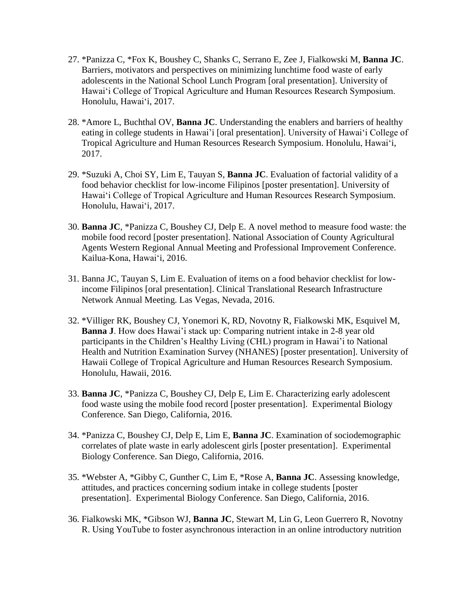- 27. \*Panizza C, \*Fox K, Boushey C, Shanks C, [Serrano](https://plus.google.com/u/0/105368062203464006354?prsrc=4) E, Zee J, Fialkowski M, **Banna JC**. Barriers, motivators and perspectives on minimizing lunchtime food waste of early adolescents in the National School Lunch Program [oral presentation]. University of Hawai'i College of Tropical Agriculture and Human Resources Research Symposium. Honolulu, Hawai'i, 2017.
- 28. \*Amore L, Buchthal OV, **Banna JC**. Understanding the enablers and barriers of healthy eating in college students in Hawai'i [oral presentation]. University of Hawai'i College of Tropical Agriculture and Human Resources Research Symposium. Honolulu, Hawai'i, 2017.
- 29. \*Suzuki A, Choi SY, Lim E, Tauyan S, **Banna JC**. Evaluation of factorial validity of a food behavior checklist for low-income Filipinos [poster presentation]. University of Hawai'i College of Tropical Agriculture and Human Resources Research Symposium. Honolulu, Hawai'i, 2017.
- 30. **Banna JC**, \*Panizza C, Boushey CJ, Delp E. A novel method to measure food waste: the mobile food record [poster presentation]. National Association of County Agricultural Agents Western Regional Annual Meeting and Professional Improvement Conference. Kailua-Kona, Hawai'i, 2016.
- 31. Banna JC, Tauyan S, Lim E. Evaluation of items on a food behavior checklist for lowincome Filipinos [oral presentation]. [Clinical Translational Research Infrastructure](http://ctrin.unlv.edu/)  [Network](http://ctrin.unlv.edu/) Annual Meeting. Las Vegas, Nevada, 2016.
- 32. \*Villiger RK, Boushey CJ, Yonemori K, RD, Novotny R, Fialkowski MK, Esquivel M, **Banna J**. How does Hawai'i stack up: Comparing nutrient intake in 2-8 year old participants in the Children's Healthy Living (CHL) program in Hawai'i to National Health and Nutrition Examination Survey (NHANES) [poster presentation]. University of Hawaii College of Tropical Agriculture and Human Resources Research Symposium. Honolulu, Hawaii, 2016.
- 33. **Banna JC**, \*Panizza C, Boushey CJ, Delp E, Lim E. Characterizing early adolescent food waste using the mobile food record [poster presentation]. Experimental Biology Conference. San Diego, California, 2016.
- 34. \*Panizza C, Boushey CJ, Delp E, Lim E, **Banna JC**. Examination of sociodemographic correlates of plate waste in early adolescent girls [poster presentation]. Experimental Biology Conference. San Diego, California, 2016.
- 35. \*Webster A, \*Gibby C, Gunther C, Lim E, \*Rose A, **Banna JC**. Assessing knowledge, attitudes, and practices concerning sodium intake in college students [poster presentation]. Experimental Biology Conference. San Diego, California, 2016.
- 36. Fialkowski MK, \*Gibson WJ, **Banna JC**, Stewart M, Lin G, Leon Guerrero R, Novotny R. Using YouTube to foster asynchronous interaction in an online introductory nutrition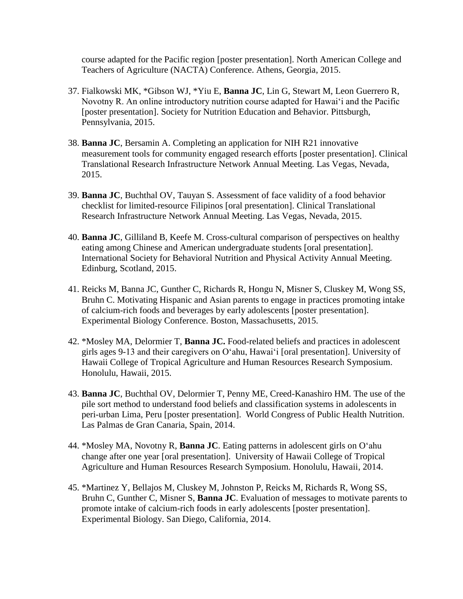course adapted for the Pacific region [poster presentation]. North American College and Teachers of Agriculture (NACTA) Conference. Athens, Georgia, 2015.

- 37. Fialkowski MK, \*Gibson WJ, \*Yiu E, **Banna JC**, Lin G, Stewart M, Leon Guerrero R, Novotny R. An online introductory nutrition course adapted for Hawai'i and the Pacific [poster presentation]. Society for Nutrition Education and Behavior. Pittsburgh, Pennsylvania, 2015.
- 38. **Banna JC**, Bersamin A. Completing an application for NIH R21 innovative measurement tools for community engaged research efforts [poster presentation]. [Clinical](http://ctrin.unlv.edu/)  [Translational Research Infrastructure Network](http://ctrin.unlv.edu/) Annual Meeting. Las Vegas, Nevada, 2015.
- 39. **Banna JC**, Buchthal OV, Tauyan S. Assessment of face validity of a food behavior checklist for limited-resource Filipinos [oral presentation]. [Clinical Translational](http://ctrin.unlv.edu/)  [Research Infrastructure Network](http://ctrin.unlv.edu/) Annual Meeting. Las Vegas, Nevada, 2015.
- 40. **Banna JC**, Gilliland B, Keefe M. Cross-cultural comparison of perspectives on healthy eating among Chinese and American undergraduate students [oral presentation]. International Society for Behavioral Nutrition and Physical Activity Annual Meeting. Edinburg, Scotland, 2015.
- 41. Reicks M, Banna JC, Gunther C, Richards R, Hongu N, Misner S, Cluskey M, Wong SS, Bruhn C. Motivating Hispanic and Asian parents to engage in practices promoting intake of calcium-rich foods and beverages by early adolescents [poster presentation]. Experimental Biology Conference. Boston, Massachusetts, 2015.
- 42. \*Mosley MA, Delormier T, **Banna JC.** Food-related beliefs and practices in adolescent girls ages 9-13 and their caregivers on Oʻahu, Hawaiʻi [oral presentation]. University of Hawaii College of Tropical Agriculture and Human Resources Research Symposium. Honolulu, Hawaii, 2015.
- 43. **Banna JC**, Buchthal OV, Delormier T, Penny ME, Creed-Kanashiro HM. The use of the pile sort method to understand food beliefs and classification systems in adolescents in peri-urban Lima, Peru [poster presentation]. World Congress of Public Health Nutrition. Las Palmas de Gran Canaria, Spain, 2014.
- 44. \*Mosley MA, Novotny R, **Banna JC**. Eating patterns in adolescent girls on Oʻahu change after one year [oral presentation]. University of Hawaii College of Tropical Agriculture and Human Resources Research Symposium. Honolulu, Hawaii, 2014.
- 45. \*Martinez Y, Bellajos M, Cluskey M, Johnston P, Reicks M, Richards R, Wong SS, Bruhn C, Gunther C, Misner S, **Banna JC**. Evaluation of messages to motivate parents to promote intake of calcium-rich foods in early adolescents [poster presentation]. Experimental Biology. San Diego, California, 2014.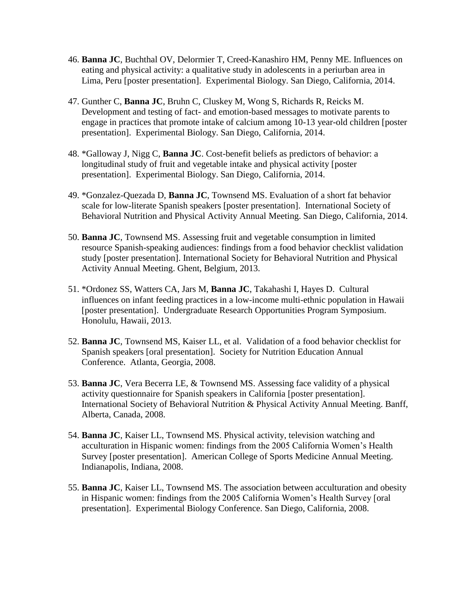- 46. **Banna JC**, Buchthal OV, Delormier T, Creed-Kanashiro HM, Penny ME. Influences on eating and physical activity: a qualitative study in adolescents in a periurban area in Lima, Peru [poster presentation]. Experimental Biology. San Diego, California, 2014.
- 47. Gunther C, **Banna JC**, Bruhn C, Cluskey M, Wong S, Richards R, Reicks M. Development and testing of fact- and emotion-based messages to motivate parents to engage in practices that promote intake of calcium among 10-13 year-old children [poster presentation]. Experimental Biology. San Diego, California, 2014.
- 48. \*Galloway J, Nigg C, **Banna JC**. Cost-benefit beliefs as predictors of behavior: a longitudinal study of fruit and vegetable intake and physical activity [poster presentation]. Experimental Biology. San Diego, California, 2014.
- 49. \*Gonzalez-Quezada D, **Banna JC**, Townsend MS. Evaluation of a short fat behavior scale for low-literate Spanish speakers [poster presentation]. International Society of Behavioral Nutrition and Physical Activity Annual Meeting. San Diego, California, 2014.
- 50. **Banna JC**, Townsend MS. Assessing fruit and vegetable consumption in limited resource Spanish-speaking audiences: findings from a food behavior checklist validation study [poster presentation]. International Society for Behavioral Nutrition and Physical Activity Annual Meeting. Ghent, Belgium, 2013.
- 51. \*Ordonez SS, Watters CA, Jars M, **Banna JC**, Takahashi I, Hayes D. Cultural influences on infant feeding practices in a low-income multi-ethnic population in Hawaii [poster presentation]. Undergraduate Research Opportunities Program Symposium. Honolulu, Hawaii, 2013.
- 52. **Banna JC**, Townsend MS, Kaiser LL, et al. Validation of a food behavior checklist for Spanish speakers [oral presentation]. Society for Nutrition Education Annual Conference. Atlanta, Georgia, 2008.
- 53. **Banna JC**, Vera Becerra LE, & Townsend MS. Assessing face validity of a physical activity questionnaire for Spanish speakers in California [poster presentation]. International Society of Behavioral Nutrition & Physical Activity Annual Meeting. Banff, Alberta, Canada, 2008.
- 54. **Banna JC**, Kaiser LL, Townsend MS. Physical activity, television watching and acculturation in Hispanic women: findings from the 2005 California Women's Health Survey [poster presentation]. American College of Sports Medicine Annual Meeting. Indianapolis, Indiana, 2008.
- 55. **Banna JC**, Kaiser LL, Townsend MS. The association between acculturation and obesity in Hispanic women: findings from the 2005 California Women's Health Survey [oral presentation]. Experimental Biology Conference. San Diego, California, 2008.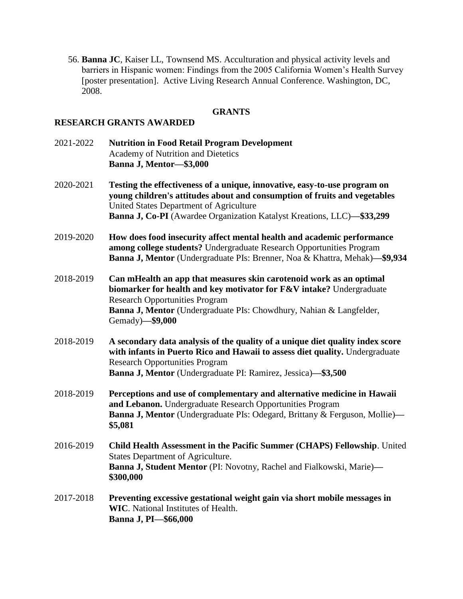56. **Banna JC**, Kaiser LL, Townsend MS. Acculturation and physical activity levels and barriers in Hispanic women: Findings from the 2005 California Women's Health Survey [poster presentation]. Active Living Research Annual Conference. Washington, DC, 2008.

## **GRANTS**

#### **RESEARCH GRANTS AWARDED**

- 2021-2022 **Nutrition in Food Retail Program Development** Academy of Nutrition and Dietetics **Banna J, Mentor—\$3,000**
- 2020-2021 **Testing the effectiveness of a unique, innovative, easy-to-use program on young children's attitudes about and consumption of fruits and vegetables** United States Department of Agriculture **Banna J, Co-PI** (Awardee Organization Katalyst Kreations, LLC)**—\$33,299**
- 2019-2020 **How does food insecurity affect mental health and academic performance among college students?** Undergraduate Research Opportunities Program **Banna J, Mentor** (Undergraduate PIs: Brenner, Noa & Khattra, Mehak)**—\$9,934**
- 2018-2019 **Can mHealth an app that measures skin carotenoid work as an optimal biomarker for health and key motivator for F&V intake?** Undergraduate Research Opportunities Program **Banna J, Mentor** (Undergraduate PIs: Chowdhury, Nahian & Langfelder, Gemady)**—\$9,000**
- 2018-2019 **A secondary data analysis of the quality of a unique diet quality index score with infants in Puerto Rico and Hawaii to assess diet quality.** Undergraduate Research Opportunities Program **Banna J, Mentor** (Undergraduate PI: Ramirez, Jessica)**—\$3,500**
- 2018-2019 **Perceptions and use of complementary and alternative medicine in Hawaii and Lebanon.** Undergraduate Research Opportunities Program **Banna J, Mentor** (Undergraduate PIs: Odegard, Brittany & Ferguson, Mollie)**— \$5,081**
- 2016-2019 **Child Health Assessment in the Pacific Summer (CHAPS) Fellowship**. United States Department of Agriculture. **Banna J, Student Mentor** (PI: Novotny, Rachel and Fialkowski, Marie)**— \$300,000**
- 2017-2018 **Preventing excessive gestational weight gain via short mobile messages in WIC**. National Institutes of Health. **Banna J, PI—\$66,000**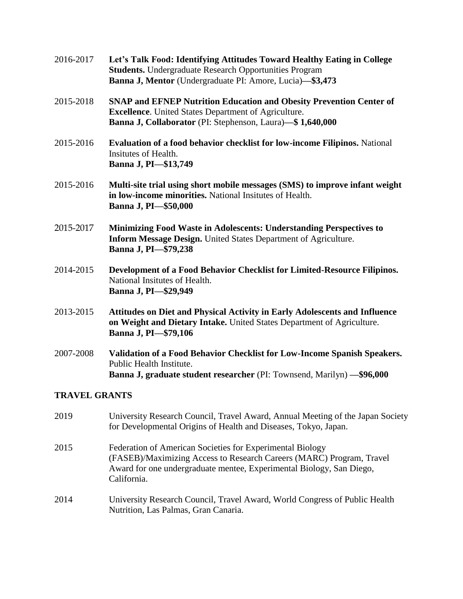| 2016-2017 | Let's Talk Food: Identifying Attitudes Toward Healthy Eating in College<br><b>Students.</b> Undergraduate Research Opportunities Program<br>Banna J, Mentor (Undergraduate PI: Amore, Lucia)-\$3,473   |
|-----------|--------------------------------------------------------------------------------------------------------------------------------------------------------------------------------------------------------|
| 2015-2018 | <b>SNAP and EFNEP Nutrition Education and Obesity Prevention Center of</b><br><b>Excellence.</b> United States Department of Agriculture.<br>Banna J, Collaborator (PI: Stephenson, Laura)-\$1,640,000 |
| 2015-2016 | Evaluation of a food behavior checklist for low-income Filipinos. National<br>Insitutes of Health.<br>Banna J, PI-\$13,749                                                                             |
| 2015-2016 | Multi-site trial using short mobile messages (SMS) to improve infant weight<br>in low-income minorities. National Insitutes of Health.<br>Banna J, PI-\$50,000                                         |
| 2015-2017 | Minimizing Food Waste in Adolescents: Understanding Perspectives to<br><b>Inform Message Design.</b> United States Department of Agriculture.<br>Banna J, PI-\$79,238                                  |
| 2014-2015 | Development of a Food Behavior Checklist for Limited-Resource Filipinos.<br>National Insitutes of Health.<br>Banna J, PI-\$29,949                                                                      |
| 2013-2015 | Attitudes on Diet and Physical Activity in Early Adolescents and Influence<br>on Weight and Dietary Intake. United States Department of Agriculture.<br>Banna J, PI-\$79,106                           |
| 2007-2008 | Validation of a Food Behavior Checklist for Low-Income Spanish Speakers.<br>Public Health Institute.<br>Banna J, graduate student researcher (PI: Townsend, Marilyn) - \$96,000                        |
|           |                                                                                                                                                                                                        |

#### **TRAVEL GRANTS**

- 2019 University Research Council, Travel Award, Annual Meeting of the Japan Society for Developmental Origins of Health and Diseases, Tokyo, Japan. 2015 Federation of American Societies for Experimental Biology (FASEB)/Maximizing Access to Research Careers (MARC) Program, Travel Award for one undergraduate mentee, Experimental Biology, San Diego, California.
- 2014 University Research Council, Travel Award, World Congress of Public Health Nutrition, Las Palmas, Gran Canaria.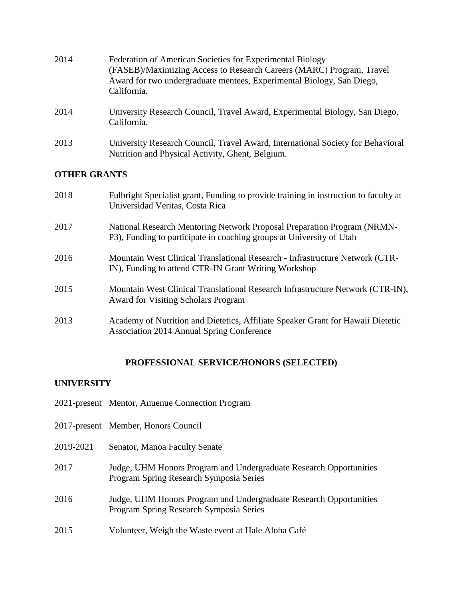| 2014                | Federation of American Societies for Experimental Biology<br>(FASEB)/Maximizing Access to Research Careers (MARC) Program, Travel<br>Award for two undergraduate mentees, Experimental Biology, San Diego,<br>California. |
|---------------------|---------------------------------------------------------------------------------------------------------------------------------------------------------------------------------------------------------------------------|
| 2014                | University Research Council, Travel Award, Experimental Biology, San Diego,<br>California.                                                                                                                                |
| 2013                | University Research Council, Travel Award, International Society for Behavioral<br>Nutrition and Physical Activity, Ghent, Belgium.                                                                                       |
| <b>OTHER GRANTS</b> |                                                                                                                                                                                                                           |

| 2018 | Fulbright Specialist grant, Funding to provide training in instruction to faculty at<br>Universidad Veritas, Costa Rica                         |
|------|-------------------------------------------------------------------------------------------------------------------------------------------------|
| 2017 | National Research Mentoring Network Proposal Preparation Program (NRMN-<br>P3), Funding to participate in coaching groups at University of Utah |
| 2016 | Mountain West Clinical Translational Research - Infrastructure Network (CTR-<br>IN), Funding to attend CTR-IN Grant Writing Workshop            |
| 2015 | Mountain West Clinical Translational Research Infrastructure Network (CTR-IN),<br><b>Award for Visiting Scholars Program</b>                    |
| 2013 | Academy of Nutrition and Dietetics, Affiliate Speaker Grant for Hawaii Dietetic<br><b>Association 2014 Annual Spring Conference</b>             |

#### **PROFESSIONAL SERVICE/HONORS (SELECTED)**

#### **UNIVERSITY**

- 2021-present Mentor, Anuenue Connection Program
- 2017-present Member, Honors Council
- 2019-2021 Senator, Manoa Faculty Senate
- 2017 Judge, UHM Honors Program and Undergraduate Research Opportunities Program Spring Research Symposia Series
- 2016 Judge, UHM Honors Program and Undergraduate Research Opportunities Program Spring Research Symposia Series
- 2015 Volunteer, Weigh the Waste event at Hale Aloha Café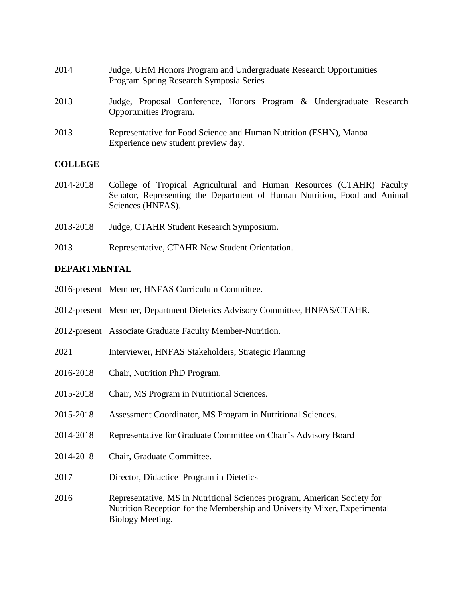| 2014 | Judge, UHM Honors Program and Undergraduate Research Opportunities<br>Program Spring Research Symposia Series |  |  |  |  |
|------|---------------------------------------------------------------------------------------------------------------|--|--|--|--|
| 2013 | Judge, Proposal Conference, Honors Program & Undergraduate Research                                           |  |  |  |  |

2013 Representative for Food Science and Human Nutrition (FSHN), Manoa Experience new student preview day.

#### **COLLEGE**

- 2014-2018 College of Tropical Agricultural and Human Resources (CTAHR) Faculty Senator, Representing the Department of Human Nutrition, Food and Animal Sciences (HNFAS).
- 2013-2018 Judge, CTAHR Student Research Symposium.

Opportunities Program.

2013 Representative, CTAHR New Student Orientation.

## **DEPARTMENTAL**

- 2016-present Member, HNFAS Curriculum Committee.
- 2012-present Member, Department Dietetics Advisory Committee, HNFAS/CTAHR.
- 2012-present Associate Graduate Faculty Member-Nutrition.
- 2021 Interviewer, HNFAS Stakeholders, Strategic Planning
- 2016-2018 Chair, Nutrition PhD Program.
- 2015-2018 Chair, MS Program in Nutritional Sciences.
- 2015-2018 Assessment Coordinator, MS Program in Nutritional Sciences.
- 2014-2018 Representative for Graduate Committee on Chair's Advisory Board
- 2014-2018 Chair, Graduate Committee.
- 2017 Director, Didactice Program in Dietetics
- 2016 Representative, MS in Nutritional Sciences program, American Society for Nutrition Reception for the Membership and University Mixer, Experimental Biology Meeting.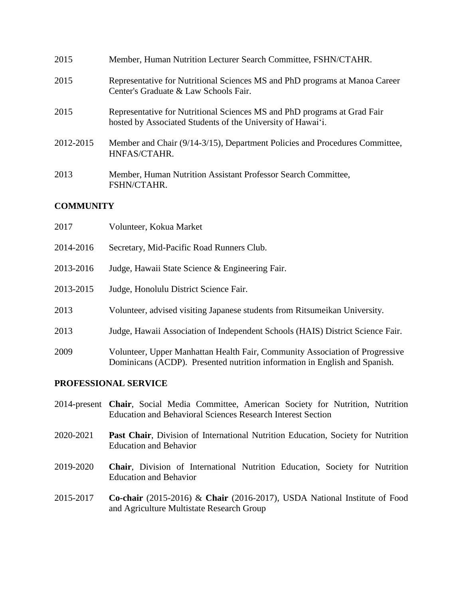| 2015      | Member, Human Nutrition Lecturer Search Committee, FSHN/CTAHR.                                                                          |
|-----------|-----------------------------------------------------------------------------------------------------------------------------------------|
| 2015      | Representative for Nutritional Sciences MS and PhD programs at Manoa Career<br>Center's Graduate & Law Schools Fair.                    |
| 2015      | Representative for Nutritional Sciences MS and PhD programs at Grad Fair<br>hosted by Associated Students of the University of Hawai'i. |
| 2012-2015 | Member and Chair (9/14-3/15), Department Policies and Procedures Committee,<br>HNFAS/CTAHR.                                             |
| 2013      | Member, Human Nutrition Assistant Professor Search Committee,<br>FSHN/CTAHR.                                                            |

## **COMMUNITY**

| 2017      | Volunteer, Kokua Market                                                                                                                                    |
|-----------|------------------------------------------------------------------------------------------------------------------------------------------------------------|
| 2014-2016 | Secretary, Mid-Pacific Road Runners Club.                                                                                                                  |
| 2013-2016 | Judge, Hawaii State Science & Engineering Fair.                                                                                                            |
| 2013-2015 | Judge, Honolulu District Science Fair.                                                                                                                     |
| 2013      | Volunteer, advised visiting Japanese students from Ritsumeikan University.                                                                                 |
| 2013      | Judge, Hawaii Association of Independent Schools (HAIS) District Science Fair.                                                                             |
| 2009      | Volunteer, Upper Manhattan Health Fair, Community Association of Progressive<br>Dominicans (ACDP). Presented nutrition information in English and Spanish. |

## **PROFESSIONAL SERVICE**

- 2014-present **Chair**, Social Media Committee, American Society for Nutrition, Nutrition Education and Behavioral Sciences Research Interest Section
- 2020-2021 **Past Chair**, Division of International Nutrition Education, Society for Nutrition Education and Behavior
- 2019-2020 **Chair**, Division of International Nutrition Education, Society for Nutrition Education and Behavior
- 2015-2017 **Co-chair** (2015-2016) & **Chair** (2016-2017), USDA National Institute of Food and Agriculture Multistate Research Group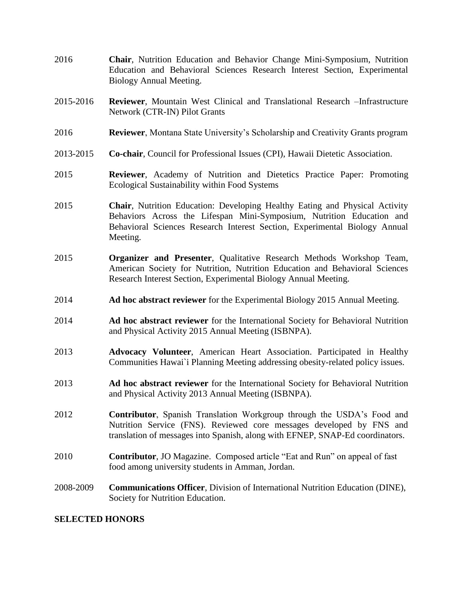- 2016 **Chair**, Nutrition Education and Behavior Change Mini-Symposium, Nutrition Education and Behavioral Sciences Research Interest Section, Experimental Biology Annual Meeting.
- 2015-2016 **Reviewer**, Mountain West Clinical and Translational Research –Infrastructure Network (CTR-IN) Pilot Grants
- 2016 **Reviewer**, Montana State University's Scholarship and Creativity Grants program
- 2013-2015 **Co-chair**, Council for Professional Issues (CPI), Hawaii Dietetic Association.
- 2015 **Reviewer**, Academy of Nutrition and Dietetics Practice Paper: Promoting Ecological Sustainability within Food Systems
- 2015 **Chair**, Nutrition Education: Developing Healthy Eating and Physical Activity Behaviors Across the Lifespan Mini-Symposium, Nutrition Education and Behavioral Sciences Research Interest Section, Experimental Biology Annual Meeting.
- 2015 **Organizer and Presenter**, Qualitative Research Methods Workshop Team, American Society for Nutrition, Nutrition Education and Behavioral Sciences Research Interest Section, Experimental Biology Annual Meeting.
- 2014 **Ad hoc abstract reviewer** for the Experimental Biology 2015 Annual Meeting.
- 2014 **Ad hoc abstract reviewer** for the International Society for Behavioral Nutrition and Physical Activity 2015 Annual Meeting (ISBNPA).
- 2013 **Advocacy Volunteer**, American Heart Association. Participated in Healthy Communities Hawai`i Planning Meeting addressing obesity-related policy issues.
- 2013 **Ad hoc abstract reviewer** for the International Society for Behavioral Nutrition and Physical Activity 2013 Annual Meeting (ISBNPA).
- 2012 **Contributor**, Spanish Translation Workgroup through the USDA's Food and Nutrition Service (FNS). Reviewed core messages developed by FNS and translation of messages into Spanish, along with EFNEP, SNAP-Ed coordinators.
- 2010 **Contributor**, JO Magazine. Composed article "Eat and Run" on appeal of fast food among university students in Amman, Jordan.
- 2008-2009 **Communications Officer**, Division of International Nutrition Education (DINE), Society for Nutrition Education.

#### **SELECTED HONORS**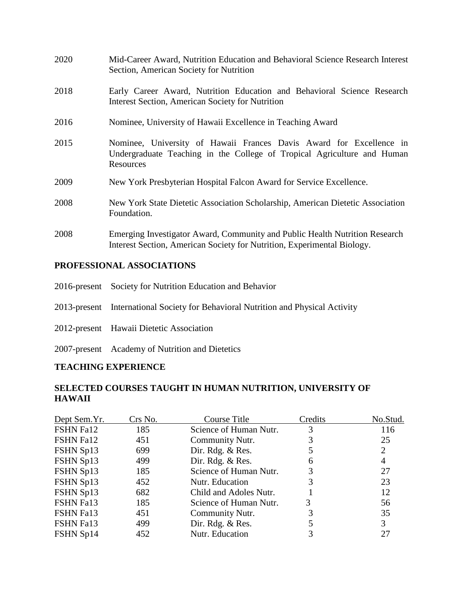| 2020 | Mid-Career Award, Nutrition Education and Behavioral Science Research Interest<br>Section, American Society for Nutrition                                   |  |  |  |  |
|------|-------------------------------------------------------------------------------------------------------------------------------------------------------------|--|--|--|--|
| 2018 | Early Career Award, Nutrition Education and Behavioral Science Research<br><b>Interest Section, American Society for Nutrition</b>                          |  |  |  |  |
| 2016 | Nominee, University of Hawaii Excellence in Teaching Award                                                                                                  |  |  |  |  |
| 2015 | Nominee, University of Hawaii Frances Davis Award for Excellence in<br>Undergraduate Teaching in the College of Tropical Agriculture and Human<br>Resources |  |  |  |  |
| 2009 | New York Presbyterian Hospital Falcon Award for Service Excellence.                                                                                         |  |  |  |  |
| 2008 | New York State Dietetic Association Scholarship, American Dietetic Association<br>Foundation.                                                               |  |  |  |  |
| 2008 | Emerging Investigator Award, Community and Public Health Nutrition Research<br>Interest Section, American Society for Nutrition, Experimental Biology.      |  |  |  |  |

## **PROFESSIONAL ASSOCIATIONS**

| 2016-present Society for Nutrition Education and Behavior                         |
|-----------------------------------------------------------------------------------|
| 2013-present International Society for Behavioral Nutrition and Physical Activity |
| 2012-present Hawaii Dietetic Association                                          |
| 2007-present Academy of Nutrition and Dietetics                                   |

# **TEACHING EXPERIENCE**

# **SELECTED COURSES TAUGHT IN HUMAN NUTRITION, UNIVERSITY OF HAWAII**

| Crs No. | Course Title           | Credits | No.Stud. |
|---------|------------------------|---------|----------|
| 185     | Science of Human Nutr. | 3       | 116      |
| 451     | Community Nutr.        | 3       | 25       |
| 699     | Dir. Rdg. & Res.       |         | 2        |
| 499     | Dir. Rdg. & Res.       | 6       | 4        |
| 185     | Science of Human Nutr. | 3       | 27       |
| 452     | Nutr. Education        | 3       | 23       |
| 682     | Child and Adoles Nutr. |         | 12       |
| 185     | Science of Human Nutr. | 3       | 56       |
| 451     | Community Nutr.        |         | 35       |
| 499     | Dir. Rdg. & Res.       |         | 3        |
| 452     | Nutr. Education        | 3       | 27       |
|         |                        |         |          |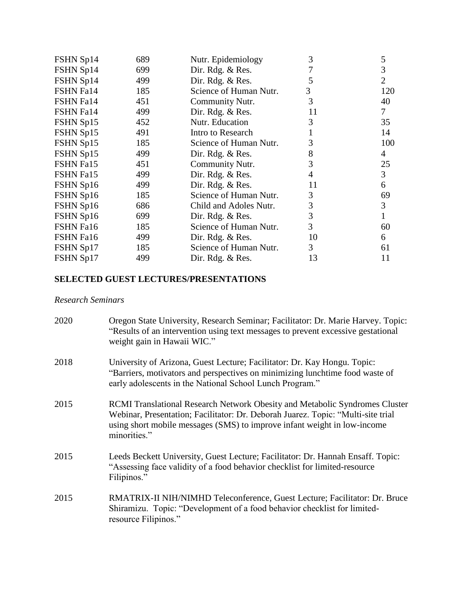| FSHN Sp14 | 689 | Nutr. Epidemiology     | 3  | 5              |
|-----------|-----|------------------------|----|----------------|
| FSHN Sp14 | 699 | Dir. Rdg. & Res.       |    | 3              |
| FSHN Sp14 | 499 | Dir. Rdg. $&$ Res.     | 5  | $\overline{2}$ |
| FSHN Fa14 | 185 | Science of Human Nutr. | 3  | 120            |
| FSHN Fa14 | 451 | Community Nutr.        | 3  | 40             |
| FSHN Fa14 | 499 | Dir. Rdg. & Res.       | 11 | 7              |
| FSHN Sp15 | 452 | Nutr. Education        | 3  | 35             |
| FSHN Sp15 | 491 | Intro to Research      |    | 14             |
| FSHN Sp15 | 185 | Science of Human Nutr. | 3  | 100            |
| FSHN Sp15 | 499 | Dir. Rdg. & Res.       | 8  | 4              |
| FSHN Fa15 | 451 | Community Nutr.        | 3  | 25             |
| FSHN Fa15 | 499 | Dir. Rdg. & Res.       | 4  | 3              |
| FSHN Sp16 | 499 | Dir. Rdg. & Res.       | 11 | 6              |
| FSHN Sp16 | 185 | Science of Human Nutr. | 3  | 69             |
| FSHN Sp16 | 686 | Child and Adoles Nutr. | 3  | 3              |
| FSHN Sp16 | 699 | Dir. Rdg. & Res.       | 3  |                |
| FSHN Fa16 | 185 | Science of Human Nutr. | 3  | 60             |
| FSHN Fa16 | 499 | Dir. Rdg. & Res.       | 10 | 6              |
| FSHN Sp17 | 185 | Science of Human Nutr. | 3  | 61             |
| FSHN Sp17 | 499 | Dir. Rdg. & Res.       | 13 | 11             |
|           |     |                        |    |                |

# **SELECTED GUEST LECTURES/PRESENTATIONS**

## *Research Seminars*

| 2020 | Oregon State University, Research Seminar; Facilitator: Dr. Marie Harvey. Topic:<br>"Results of an intervention using text messages to prevent excessive gestational<br>weight gain in Hawaii WIC."                                                         |
|------|-------------------------------------------------------------------------------------------------------------------------------------------------------------------------------------------------------------------------------------------------------------|
| 2018 | University of Arizona, Guest Lecture; Facilitator: Dr. Kay Hongu. Topic:<br>"Barriers, motivators and perspectives on minimizing lunchtime food waste of<br>early adolescents in the National School Lunch Program."                                        |
| 2015 | RCMI Translational Research Network Obesity and Metabolic Syndromes Cluster<br>Webinar, Presentation; Facilitator: Dr. Deborah Juarez. Topic: "Multi-site trial<br>using short mobile messages (SMS) to improve infant weight in low-income<br>minorities." |
| 2015 | Leeds Beckett University, Guest Lecture; Facilitator: Dr. Hannah Ensaff. Topic:<br>"Assessing face validity of a food behavior checklist for limited-resource<br>Filipinos."                                                                                |
| 2015 | RMATRIX-II NIH/NIMHD Teleconference, Guest Lecture; Facilitator: Dr. Bruce<br>Shiramizu. Topic: "Development of a food behavior checklist for limited-<br>resource Filipinos."                                                                              |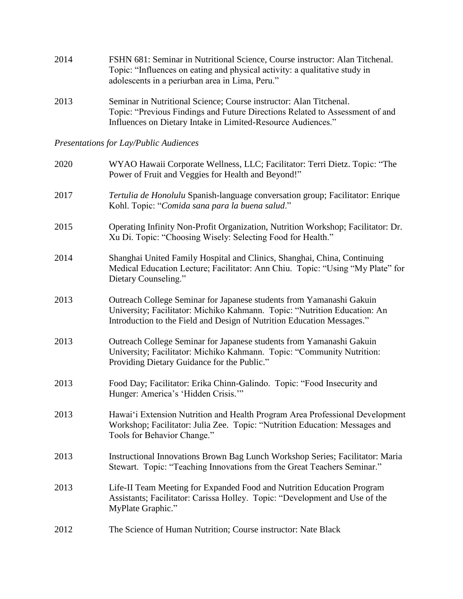| 2014 | FSHN 681: Seminar in Nutritional Science, Course instructor: Alan Titchenal. |
|------|------------------------------------------------------------------------------|
|      | Topic: "Influences on eating and physical activity: a qualitative study in   |
|      | adolescents in a periurban area in Lima, Peru."                              |

2013 Seminar in Nutritional Science; Course instructor: Alan Titchenal. Topic: "Previous Findings and Future Directions Related to Assessment of and Influences on Dietary Intake in Limited-Resource Audiences."

*Presentations for Lay/Public Audiences* 

| 2020 | WYAO Hawaii Corporate Wellness, LLC; Facilitator: Terri Dietz. Topic: "The<br>Power of Fruit and Veggies for Health and Beyond!"                                                                                            |
|------|-----------------------------------------------------------------------------------------------------------------------------------------------------------------------------------------------------------------------------|
| 2017 | Tertulia de Honolulu Spanish-language conversation group; Facilitator: Enrique<br>Kohl. Topic: "Comida sana para la buena salud."                                                                                           |
| 2015 | Operating Infinity Non-Profit Organization, Nutrition Workshop; Facilitator: Dr.<br>Xu Di. Topic: "Choosing Wisely: Selecting Food for Health."                                                                             |
| 2014 | Shanghai United Family Hospital and Clinics, Shanghai, China, Continuing<br>Medical Education Lecture; Facilitator: Ann Chiu. Topic: "Using "My Plate" for<br>Dietary Counseling."                                          |
| 2013 | Outreach College Seminar for Japanese students from Yamanashi Gakuin<br>University; Facilitator: Michiko Kahmann. Topic: "Nutrition Education: An<br>Introduction to the Field and Design of Nutrition Education Messages." |
| 2013 | Outreach College Seminar for Japanese students from Yamanashi Gakuin<br>University; Facilitator: Michiko Kahmann. Topic: "Community Nutrition:<br>Providing Dietary Guidance for the Public."                               |
| 2013 | Food Day; Facilitator: Erika Chinn-Galindo. Topic: "Food Insecurity and<br>Hunger: America's 'Hidden Crisis."                                                                                                               |
| 2013 | Hawai'i Extension Nutrition and Health Program Area Professional Development<br>Workshop; Facilitator: Julia Zee. Topic: "Nutrition Education: Messages and<br>Tools for Behavior Change."                                  |
| 2013 | Instructional Innovations Brown Bag Lunch Workshop Series; Facilitator: Maria<br>Stewart. Topic: "Teaching Innovations from the Great Teachers Seminar."                                                                    |
| 2013 | Life-II Team Meeting for Expanded Food and Nutrition Education Program<br>Assistants; Facilitator: Carissa Holley. Topic: "Development and Use of the<br>MyPlate Graphic."                                                  |
| 2012 | The Science of Human Nutrition; Course instructor: Nate Black                                                                                                                                                               |